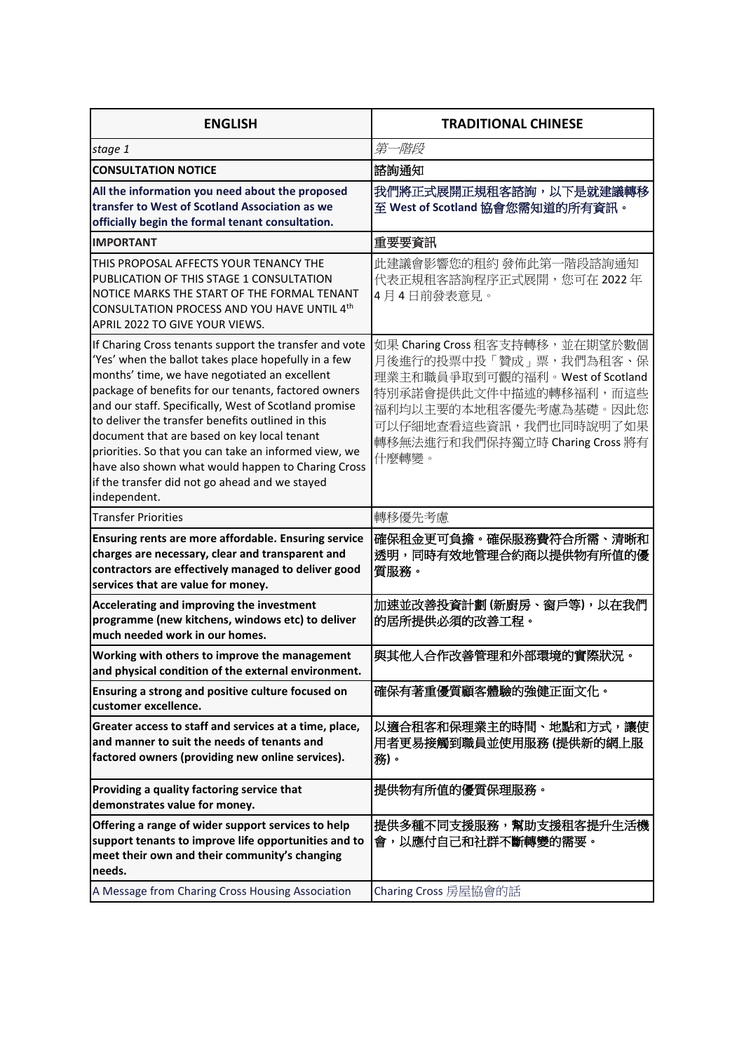| <b>ENGLISH</b>                                                                                                                                                                                                                                                                                                                                                                                                                                                                                                                                                        | <b>TRADITIONAL CHINESE</b>                                                                                                                                                                                              |
|-----------------------------------------------------------------------------------------------------------------------------------------------------------------------------------------------------------------------------------------------------------------------------------------------------------------------------------------------------------------------------------------------------------------------------------------------------------------------------------------------------------------------------------------------------------------------|-------------------------------------------------------------------------------------------------------------------------------------------------------------------------------------------------------------------------|
| stage 1                                                                                                                                                                                                                                                                                                                                                                                                                                                                                                                                                               | 第一階段                                                                                                                                                                                                                    |
| <b>CONSULTATION NOTICE</b>                                                                                                                                                                                                                                                                                                                                                                                                                                                                                                                                            | 諮詢通知                                                                                                                                                                                                                    |
| All the information you need about the proposed<br>transfer to West of Scotland Association as we<br>officially begin the formal tenant consultation.                                                                                                                                                                                                                                                                                                                                                                                                                 | 我們將正式展開正規租客諮詢,以下是就建議轉移<br>至 West of Scotland 協會您需知道的所有資訊。                                                                                                                                                               |
| <b>IMPORTANT</b>                                                                                                                                                                                                                                                                                                                                                                                                                                                                                                                                                      | 重要要資訊                                                                                                                                                                                                                   |
| THIS PROPOSAL AFFECTS YOUR TENANCY THE<br>PUBLICATION OF THIS STAGE 1 CONSULTATION<br>NOTICE MARKS THE START OF THE FORMAL TENANT<br>CONSULTATION PROCESS AND YOU HAVE UNTIL 4th<br>APRIL 2022 TO GIVE YOUR VIEWS.                                                                                                                                                                                                                                                                                                                                                    | 此建議會影響您的租約 發佈此第一階段諮詢通知<br>代表正規租客諮詢程序正式展開,您可在 2022 年<br>4 月 4 日前發表意見。                                                                                                                                                    |
| If Charing Cross tenants support the transfer and vote<br>'Yes' when the ballot takes place hopefully in a few<br>months' time, we have negotiated an excellent<br>package of benefits for our tenants, factored owners<br>and our staff. Specifically, West of Scotland promise<br>to deliver the transfer benefits outlined in this<br>document that are based on key local tenant<br>priorities. So that you can take an informed view, we<br>have also shown what would happen to Charing Cross<br>if the transfer did not go ahead and we stayed<br>independent. | 如果 Charing Cross 租客支持轉移, 並在期望於數個<br>月後進行的投票中投「贊成」票,我們為租客、保<br>理業主和職員爭取到可觀的福利。West of Scotland<br>特別承諾會提供此文件中描述的轉移福利,而這些<br>福利均以主要的本地租客優先考慮為基礎。因此您<br>可以仔細地查看這些資訊,我們也同時說明了如果<br>轉移無法進行和我們保持獨立時 Charing Cross 將有<br>什麼轉變。 |
| <b>Transfer Priorities</b>                                                                                                                                                                                                                                                                                                                                                                                                                                                                                                                                            | 轉移優先考慮                                                                                                                                                                                                                  |
| Ensuring rents are more affordable. Ensuring service<br>charges are necessary, clear and transparent and<br>contractors are effectively managed to deliver good<br>services that are value for money.                                                                                                                                                                                                                                                                                                                                                                 | 確保租金更可負擔。確保服務費符合所需、清晰和<br>透明,同時有效地管理合約商以提供物有所值的優<br>質服務。                                                                                                                                                                |
| Accelerating and improving the investment<br>programme (new kitchens, windows etc) to deliver<br>much needed work in our homes.                                                                                                                                                                                                                                                                                                                                                                                                                                       | 加速並改善投資計劃 (新廚房、窗戶等),以在我們<br>的居所提供必須的改善工程。                                                                                                                                                                               |
| Working with others to improve the management<br>and physical condition of the external environment.                                                                                                                                                                                                                                                                                                                                                                                                                                                                  | 與其他人合作改善管理和外部環境的實際狀況。                                                                                                                                                                                                   |
| Ensuring a strong and positive culture focused on<br>customer excellence.                                                                                                                                                                                                                                                                                                                                                                                                                                                                                             | 確保有著重優質顧客體驗的強健正面文化。                                                                                                                                                                                                     |
| Greater access to staff and services at a time, place,<br>and manner to suit the needs of tenants and<br>factored owners (providing new online services).                                                                                                                                                                                                                                                                                                                                                                                                             | 以適合租客和保理業主的時間、地點和方式,讓使<br>用者更易接觸到職員並使用服務 (提供新的網上服<br>務)。                                                                                                                                                                |
| Providing a quality factoring service that<br>demonstrates value for money.                                                                                                                                                                                                                                                                                                                                                                                                                                                                                           | 提供物有所值的優質保理服務。                                                                                                                                                                                                          |
| Offering a range of wider support services to help<br>support tenants to improve life opportunities and to<br>meet their own and their community's changing<br>needs.                                                                                                                                                                                                                                                                                                                                                                                                 | 提供多種不同支援服務,幫助支援租客提升生活機<br>會,以應付自己和社群不斷轉變的需要。                                                                                                                                                                            |
| A Message from Charing Cross Housing Association                                                                                                                                                                                                                                                                                                                                                                                                                                                                                                                      | Charing Cross 房屋協會的話                                                                                                                                                                                                    |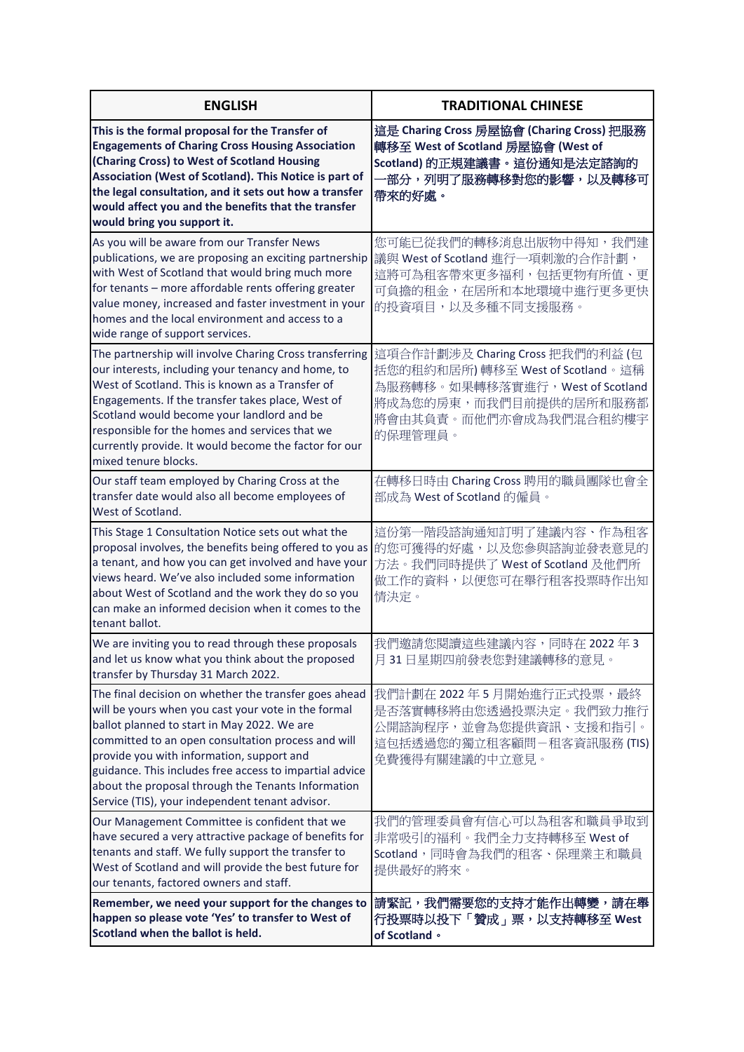| <b>ENGLISH</b>                                                                                                                                                                                                                                                                                                                                                                                                                     | <b>TRADITIONAL CHINESE</b>                                                                                                                                              |
|------------------------------------------------------------------------------------------------------------------------------------------------------------------------------------------------------------------------------------------------------------------------------------------------------------------------------------------------------------------------------------------------------------------------------------|-------------------------------------------------------------------------------------------------------------------------------------------------------------------------|
| This is the formal proposal for the Transfer of<br><b>Engagements of Charing Cross Housing Association</b><br>(Charing Cross) to West of Scotland Housing<br>Association (West of Scotland). This Notice is part of<br>the legal consultation, and it sets out how a transfer<br>would affect you and the benefits that the transfer<br>would bring you support it.                                                                | 這是 Charing Cross 房屋協會 (Charing Cross) 把服務<br>轉移至 West of Scotland 房屋協會 (West of<br>Scotland) 的正規建議書。這份通知是法定諮詢的<br>·部分,列明了服務轉移對您的影響,以及轉移可<br>帶來的好處。                      |
| As you will be aware from our Transfer News<br>publications, we are proposing an exciting partnership<br>with West of Scotland that would bring much more<br>for tenants - more affordable rents offering greater<br>value money, increased and faster investment in your<br>homes and the local environment and access to a<br>wide range of support services.                                                                    | 您可能已從我們的轉移消息出版物中得知,我們建<br>議與 West of Scotland 進行一項刺激的合作計劃,<br>這將可為租客帶來更多福利,包括更物有所值、更<br>可負擔的租金,在居所和本地環境中進行更多更快<br>的投資項目,以及多種不同支援服務。                                     |
| The partnership will involve Charing Cross transferring<br>our interests, including your tenancy and home, to<br>West of Scotland. This is known as a Transfer of<br>Engagements. If the transfer takes place, West of<br>Scotland would become your landlord and be<br>responsible for the homes and services that we<br>currently provide. It would become the factor for our<br>mixed tenure blocks.                            | 這項合作計劃涉及 Charing Cross 把我們的利益 (包<br>括您的租約和居所)轉移至 West of Scotland。這稱<br>為服務轉移。如果轉移落實進行, West of Scotland<br>將成為您的房東,而我們目前提供的居所和服務都<br>將會由其負責。而他們亦會成為我們混合租約樓宇<br>的保理管理員。 |
| Our staff team employed by Charing Cross at the<br>transfer date would also all become employees of<br>West of Scotland.                                                                                                                                                                                                                                                                                                           | 在轉移日時由 Charing Cross 聘用的職員團隊也會全<br>部成為 West of Scotland 的僱員。                                                                                                            |
| This Stage 1 Consultation Notice sets out what the<br>proposal involves, the benefits being offered to you as<br>a tenant, and how you can get involved and have your<br>views heard. We've also included some information<br>about West of Scotland and the work they do so you<br>can make an informed decision when it comes to the<br>tenant ballot.                                                                           | 這份第一階段諮詢通知訂明了建議內容、作為租客<br>的您可獲得的好處,以及您參與諮詢並發表意見的<br>方法。我們同時提供了 West of Scotland 及他們所<br>做工作的資料,以便您可在舉行租客投票時作出知<br>情决定。                                                  |
| We are inviting you to read through these proposals<br>and let us know what you think about the proposed<br>transfer by Thursday 31 March 2022.                                                                                                                                                                                                                                                                                    | 我們邀請您閱讀這些建議內容,同時在2022年3<br>月31日星期四前發表您對建議轉移的意見。                                                                                                                         |
| The final decision on whether the transfer goes ahead<br>will be yours when you cast your vote in the formal<br>ballot planned to start in May 2022. We are<br>committed to an open consultation process and will<br>provide you with information, support and<br>guidance. This includes free access to impartial advice<br>about the proposal through the Tenants Information<br>Service (TIS), your independent tenant advisor. | 我們計劃在 2022年5月開始進行正式投票,最終<br>是否落實轉移將由您透過投票決定。我們致力推行<br>公開諮詢程序,並會為您提供資訊、支援和指引。<br>這包括透過您的獨立租客顧問-租客資訊服務 (TIS)<br>免費獲得有關建議的中立意見。                                            |
| Our Management Committee is confident that we<br>have secured a very attractive package of benefits for<br>tenants and staff. We fully support the transfer to<br>West of Scotland and will provide the best future for<br>our tenants, factored owners and staff.                                                                                                                                                                 | 我們的管理委員會有信心可以為租客和職員爭取到<br>非常吸引的福利。我們全力支持轉移至 West of<br>Scotland,同時會為我們的租客、保理業主和職員<br>提供最好的將來。                                                                           |
| Remember, we need your support for the changes to<br>happen so please vote 'Yes' to transfer to West of<br>Scotland when the ballot is held.                                                                                                                                                                                                                                                                                       | 請緊記,我們需要您的支持才能作出轉變,請在舉<br>行投票時以投下「贊成」票,以支持轉移至 West<br>of Scotland ·                                                                                                     |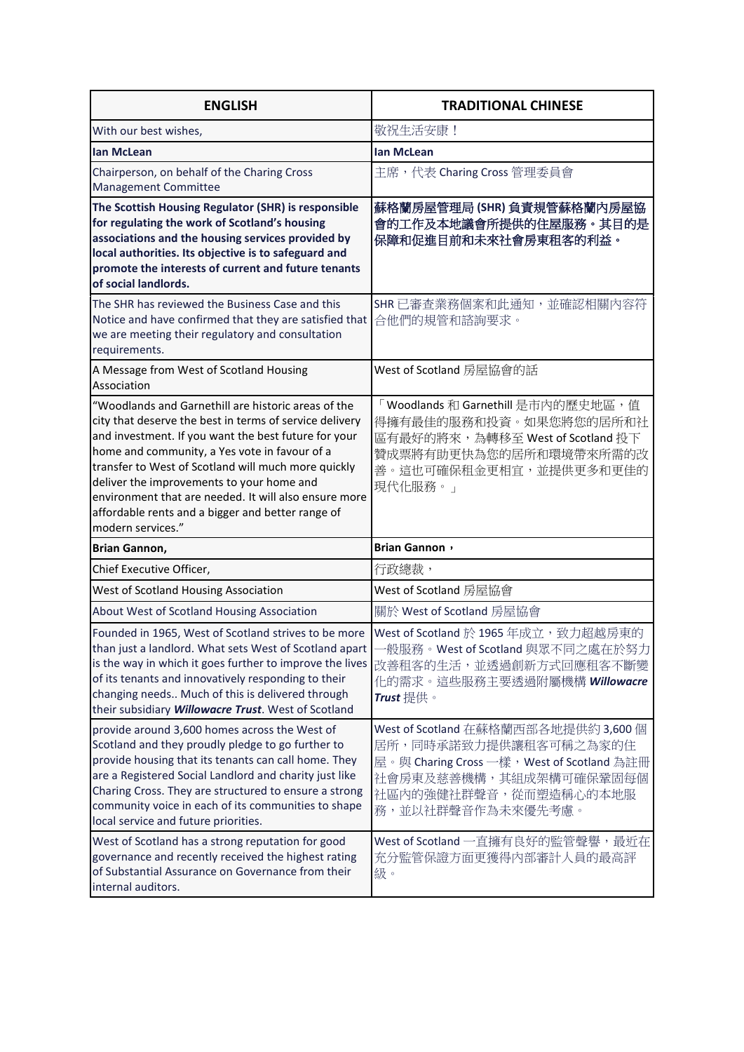| <b>ENGLISH</b>                                                                                                                                                                                                                                                                                                                                                                                                                                                 | <b>TRADITIONAL CHINESE</b>                                                                                                                                                         |
|----------------------------------------------------------------------------------------------------------------------------------------------------------------------------------------------------------------------------------------------------------------------------------------------------------------------------------------------------------------------------------------------------------------------------------------------------------------|------------------------------------------------------------------------------------------------------------------------------------------------------------------------------------|
| With our best wishes,                                                                                                                                                                                                                                                                                                                                                                                                                                          | 敬祝生活安康!                                                                                                                                                                            |
| <b>lan McLean</b>                                                                                                                                                                                                                                                                                                                                                                                                                                              | lan McLean                                                                                                                                                                         |
| Chairperson, on behalf of the Charing Cross<br>Management Committee                                                                                                                                                                                                                                                                                                                                                                                            | 主席,代表 Charing Cross 管理委員會                                                                                                                                                          |
| The Scottish Housing Regulator (SHR) is responsible<br>for regulating the work of Scotland's housing<br>associations and the housing services provided by<br>local authorities. Its objective is to safeguard and<br>promote the interests of current and future tenants<br>of social landlords.                                                                                                                                                               | 蘇格蘭房屋管理局 (SHR) 負責規管蘇格蘭內房屋協<br>會的工作及本地議會所提供的住屋服務。其目的是<br>保障和促進目前和未來社會房東租客的利益。                                                                                                       |
| The SHR has reviewed the Business Case and this<br>Notice and have confirmed that they are satisfied that<br>we are meeting their regulatory and consultation<br>requirements.                                                                                                                                                                                                                                                                                 | SHR 已審查業務個案和此通知,並確認相關內容符<br>合他們的規管和諮詢要求。                                                                                                                                           |
| A Message from West of Scotland Housing<br>Association                                                                                                                                                                                                                                                                                                                                                                                                         | West of Scotland 房屋協會的話                                                                                                                                                            |
| "Woodlands and Garnethill are historic areas of the<br>city that deserve the best in terms of service delivery<br>and investment. If you want the best future for your<br>home and community, a Yes vote in favour of a<br>transfer to West of Scotland will much more quickly<br>deliver the improvements to your home and<br>environment that are needed. It will also ensure more<br>affordable rents and a bigger and better range of<br>modern services." | 「Woodlands 和 Garnethill 是市内的歷史地區, 值<br>得擁有最佳的服務和投資。如果您將您的居所和社<br>區有最好的將來,為轉移至 West of Scotland 投下<br>贊成票將有助更快為您的居所和環境帶來所需的改<br>善。這也可確保租金更相宜,並提供更多和更佳的<br>現代化服務。」                   |
| <b>Brian Gannon,</b>                                                                                                                                                                                                                                                                                                                                                                                                                                           | <b>Brian Gannon</b> ,                                                                                                                                                              |
| Chief Executive Officer,                                                                                                                                                                                                                                                                                                                                                                                                                                       | 行政總裁,                                                                                                                                                                              |
| West of Scotland Housing Association                                                                                                                                                                                                                                                                                                                                                                                                                           | West of Scotland 房屋協會                                                                                                                                                              |
| About West of Scotland Housing Association                                                                                                                                                                                                                                                                                                                                                                                                                     | 關於 West of Scotland 房屋協會                                                                                                                                                           |
| Founded in 1965, West of Scotland strives to be more<br>than just a landlord. What sets West of Scotland apart<br>is the way in which it goes further to improve the lives<br>of its tenants and innovatively responding to their<br>changing needs Much of this is delivered through<br>their subsidiary Willowacre Trust. West of Scotland                                                                                                                   | West of Scotland 於 1965 年成立,致力超越房東的<br>一般服務。West of Scotland 與眾不同之處在於努力<br>改善租客的生活,並透過創新方式回應租客不斷變<br>化的需求。這些服務主要透過附屬機構 Willowacre<br>Trust 提供。                                     |
| provide around 3,600 homes across the West of<br>Scotland and they proudly pledge to go further to<br>provide housing that its tenants can call home. They<br>are a Registered Social Landlord and charity just like<br>Charing Cross. They are structured to ensure a strong<br>community voice in each of its communities to shape<br>local service and future priorities.                                                                                   | West of Scotland 在蘇格蘭西部各地提供約 3,600 個<br>居所,同時承諾致力提供讓租客可稱之為家的住<br>屋。與 Charing Cross 一樣,West of Scotland 為註冊<br>社會房東及慈善機構,其組成架構可確保鞏固每個<br>社區內的強健社群聲音,從而塑造稱心的本地服<br>務,並以社群聲音作為未來優先考慮。 |
| West of Scotland has a strong reputation for good<br>governance and recently received the highest rating<br>of Substantial Assurance on Governance from their<br>internal auditors.                                                                                                                                                                                                                                                                            | West of Scotland 一直擁有良好的監管聲譽,最近在<br>充分監管保證方面更獲得內部審計人員的最高評<br>級。                                                                                                                    |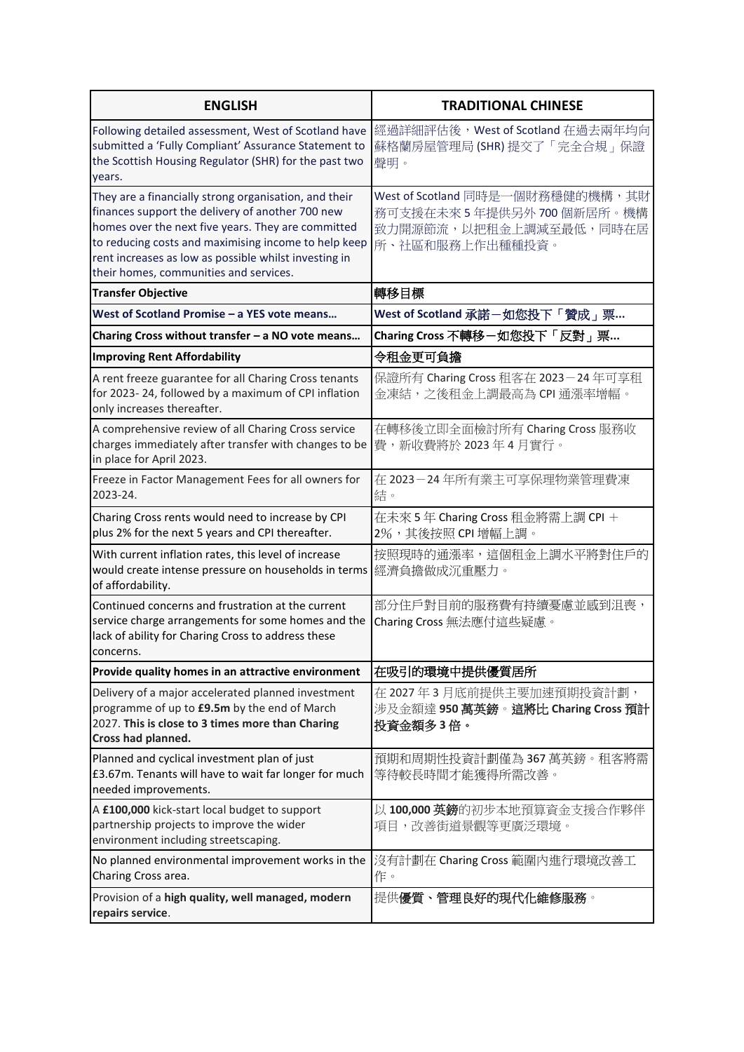| <b>ENGLISH</b>                                                                                                                                                                                                                                                                                                             | <b>TRADITIONAL CHINESE</b>                                                                               |
|----------------------------------------------------------------------------------------------------------------------------------------------------------------------------------------------------------------------------------------------------------------------------------------------------------------------------|----------------------------------------------------------------------------------------------------------|
| Following detailed assessment, West of Scotland have<br>submitted a 'Fully Compliant' Assurance Statement to<br>the Scottish Housing Regulator (SHR) for the past two<br>years.                                                                                                                                            | 經過詳細評估後, West of Scotland 在過去兩年均向<br>蘇格蘭房屋管理局 (SHR) 提交了「完全合規」保證<br>聲明。                                   |
| They are a financially strong organisation, and their<br>finances support the delivery of another 700 new<br>homes over the next five years. They are committed<br>to reducing costs and maximising income to help keep<br>rent increases as low as possible whilst investing in<br>their homes, communities and services. | West of Scotland 同時是一個財務穩健的機構,其財<br>務可支援在未來5年提供另外700個新居所。機構<br>致力開源節流,以把租金上調減至最低,同時在居<br>所、社區和服務上作出種種投資。 |
| <b>Transfer Objective</b>                                                                                                                                                                                                                                                                                                  | 轉移目標                                                                                                     |
| West of Scotland Promise – a YES vote means                                                                                                                                                                                                                                                                                | West of Scotland 承諾一如您投下「贊成」票                                                                            |
| Charing Cross without transfer - a NO vote means                                                                                                                                                                                                                                                                           | Charing Cross 不轉移-如您投下「反對」票                                                                              |
| <b>Improving Rent Affordability</b>                                                                                                                                                                                                                                                                                        | 令租金更可負擔                                                                                                  |
| A rent freeze guarantee for all Charing Cross tenants<br>for 2023-24, followed by a maximum of CPI inflation<br>only increases thereafter.                                                                                                                                                                                 | 保證所有 Charing Cross 租客在 2023-24年可享租<br>金凍結,之後租金上調最高為 CPI 通漲率增幅。                                           |
| A comprehensive review of all Charing Cross service<br>charges immediately after transfer with changes to be<br>in place for April 2023.                                                                                                                                                                                   | 在轉移後立即全面檢討所有 Charing Cross 服務收<br>費,新收費將於 2023年4月實行。                                                     |
| Freeze in Factor Management Fees for all owners for<br>2023-24.                                                                                                                                                                                                                                                            | 在 2023-24 年所有業主可享保理物業管理費凍<br>結。                                                                          |
| Charing Cross rents would need to increase by CPI<br>plus 2% for the next 5 years and CPI thereafter.                                                                                                                                                                                                                      | 在未來 5年 Charing Cross 租金將需上調 CPI +<br>2%,其後按照 CPI 增幅上調。                                                   |
| With current inflation rates, this level of increase<br>would create intense pressure on households in terms  經濟負擔做成沉重壓力。<br>of affordability.                                                                                                                                                                             | 按照現時的通漲率,這個租金上調水平將對住戶的                                                                                   |
| Continued concerns and frustration at the current<br>service charge arrangements for some homes and the<br>lack of ability for Charing Cross to address these<br>concerns.                                                                                                                                                 | 部分住戶對目前的服務費有持續憂慮並感到沮喪,<br>Charing Cross 無法應付這些疑慮。                                                        |
| Provide quality homes in an attractive environment                                                                                                                                                                                                                                                                         | 在吸引的環境中提供優質居所                                                                                            |
| Delivery of a major accelerated planned investment<br>programme of up to £9.5m by the end of March<br>2027. This is close to 3 times more than Charing<br>Cross had planned.                                                                                                                                               | 在 2027年3月底前提供主要加速預期投資計劃,<br>涉及金額達 950 萬英鎊。這將比 Charing Cross 預計<br>投資金額多3倍。                               |
| Planned and cyclical investment plan of just<br>£3.67m. Tenants will have to wait far longer for much<br>needed improvements.                                                                                                                                                                                              | 預期和周期性投資計劃僅為 367 萬英鎊。租客將需<br>等待較長時間才能獲得所需改善。                                                             |
| A £100,000 kick-start local budget to support<br>partnership projects to improve the wider<br>environment including streetscaping.                                                                                                                                                                                         | 以 100,000 英鎊的初步本地預算資金支援合作夥伴<br>項目,改善街道景觀等更廣泛環境。                                                          |
| No planned environmental improvement works in the<br>Charing Cross area.                                                                                                                                                                                                                                                   | 沒有計劃在 Charing Cross 範圍內進行環境改善工<br>作。                                                                     |
| Provision of a high quality, well managed, modern<br>repairs service.                                                                                                                                                                                                                                                      | 提供優質、管理良好的現代化維修服務。                                                                                       |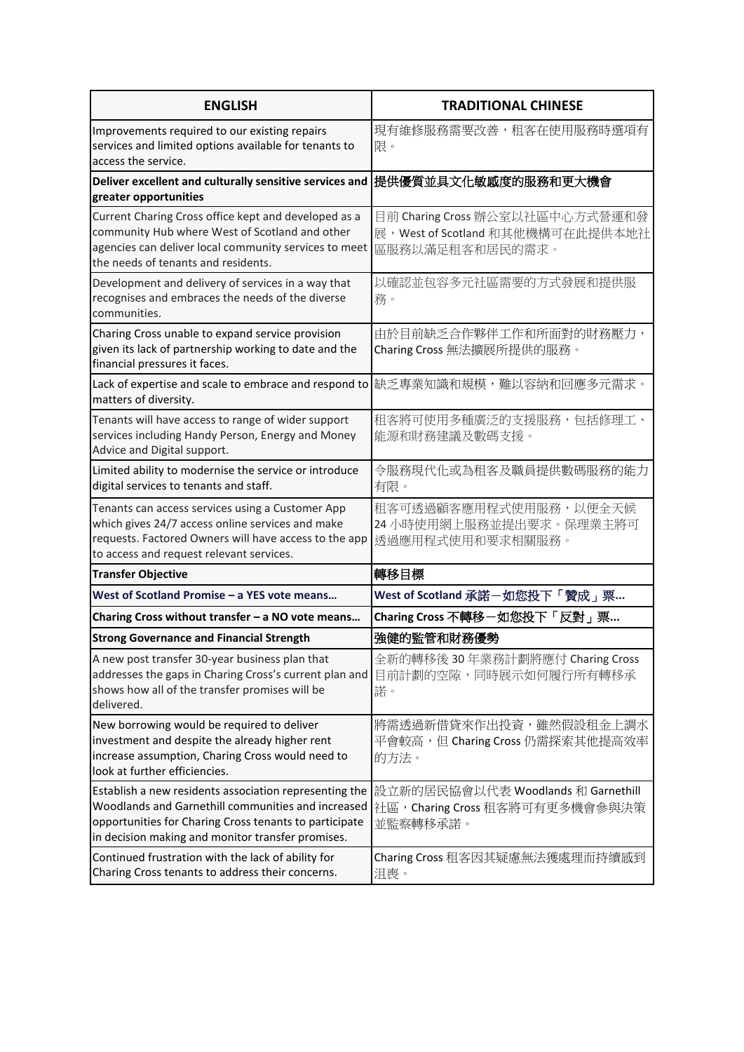| <b>ENGLISH</b>                                                                                                                                                                                                              | <b>TRADITIONAL CHINESE</b>                                                              |
|-----------------------------------------------------------------------------------------------------------------------------------------------------------------------------------------------------------------------------|-----------------------------------------------------------------------------------------|
| Improvements required to our existing repairs<br>services and limited options available for tenants to<br>access the service.                                                                                               | 現有維修服務需要改善,租客在使用服務時選項有<br>限。                                                            |
| Deliver excellent and culturally sensitive services and<br>greater opportunities                                                                                                                                            | 提供優質並具文化敏感度的服務和更大機會                                                                     |
| Current Charing Cross office kept and developed as a<br>community Hub where West of Scotland and other<br>agencies can deliver local community services to meet<br>the needs of tenants and residents.                      | 目前 Charing Cross 辦公室以社區中心方式營運和發<br>展, West of Scotland 和其他機構可在此提供本地社<br>區服務以滿足租客和居民的需求。 |
| Development and delivery of services in a way that<br>recognises and embraces the needs of the diverse<br>communities.                                                                                                      | 以確認並包容多元社區需要的方式發展和提供服<br>務。                                                             |
| Charing Cross unable to expand service provision<br>given its lack of partnership working to date and the<br>financial pressures it faces.                                                                                  | 由於目前缺乏合作夥伴工作和所面對的財務壓力,<br>Charing Cross 無法擴展所提供的服務。                                     |
| Lack of expertise and scale to embrace and respond to 協乏專業知識和規模,難以容納和回應多元需求。<br>matters of diversity.                                                                                                                       |                                                                                         |
| Tenants will have access to range of wider support<br>services including Handy Person, Energy and Money<br>Advice and Digital support.                                                                                      | 租客將可使用多種廣泛的支援服務,包括修理工、<br>能源和財務建議及數碼支援。                                                 |
| Limited ability to modernise the service or introduce<br>digital services to tenants and staff.                                                                                                                             | 令服務現代化或為租客及職員提供數碼服務的能力<br>有限。                                                           |
| Tenants can access services using a Customer App<br>which gives 24/7 access online services and make<br>requests. Factored Owners will have access to the app<br>to access and request relevant services.                   | 租客可透過顧客應用程式使用服務,以便全天候<br>24 小時使用網上服務並提出要求。保理業主將可<br>透過應用程式使用和要求相關服務。                    |
| <b>Transfer Objective</b>                                                                                                                                                                                                   | 轉移目標                                                                                    |
| West of Scotland Promise - a YES vote means                                                                                                                                                                                 | West of Scotland 承諾-如您投下「贊成」票                                                           |
| Charing Cross without transfer - a NO vote means                                                                                                                                                                            | Charing Cross 不轉移-如您投下「反對」票                                                             |
| <b>Strong Governance and Financial Strength</b>                                                                                                                                                                             | 強健的監管和財務優勢                                                                              |
| A new post transfer 30-year business plan that<br>addresses the gaps in Charing Cross's current plan and<br>shows how all of the transfer promises will be<br>delivered.                                                    | 全新的轉移後 30 年業務計劃將應付 Charing Cross<br>目前計劃的空隙,同時展示如何履行所有轉移承<br>諾。                         |
| New borrowing would be required to deliver<br>investment and despite the already higher rent<br>increase assumption, Charing Cross would need to<br>look at further efficiencies.                                           | 將需透過新借貸來作出投資,雖然假設租金上調水<br>平會較高,但 Charing Cross 仍需探索其他提高效率<br>的方法。                       |
| Establish a new residents association representing the<br>Woodlands and Garnethill communities and increased<br>opportunities for Charing Cross tenants to participate<br>in decision making and monitor transfer promises. | 設立新的居民協會以代表 Woodlands 和 Garnethill<br>社區, Charing Cross 租客將可有更多機會參與決策<br>並監察轉移承諾。       |
| Continued frustration with the lack of ability for<br>Charing Cross tenants to address their concerns.                                                                                                                      | Charing Cross 租客因其疑慮無法獲處理而持續感到<br>沮喪。                                                   |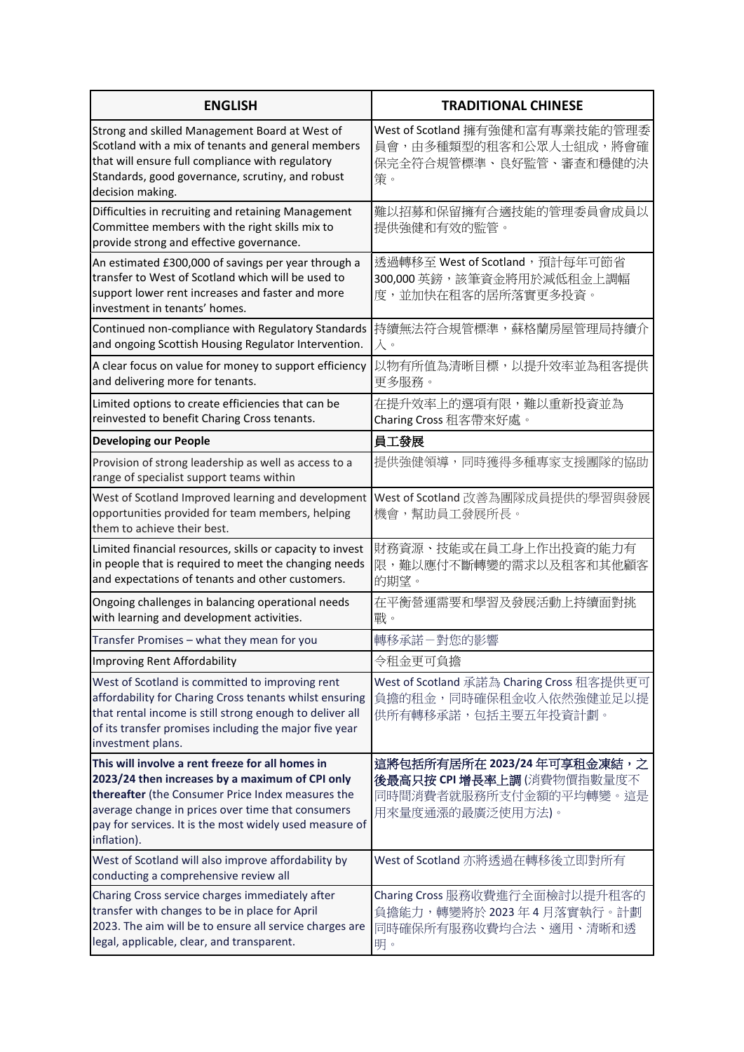| <b>ENGLISH</b>                                                                                                                                                                                                                                                                          | <b>TRADITIONAL CHINESE</b>                                                                             |
|-----------------------------------------------------------------------------------------------------------------------------------------------------------------------------------------------------------------------------------------------------------------------------------------|--------------------------------------------------------------------------------------------------------|
| Strong and skilled Management Board at West of<br>Scotland with a mix of tenants and general members<br>that will ensure full compliance with regulatory<br>Standards, good governance, scrutiny, and robust<br>decision making.                                                        | West of Scotland 擁有強健和富有專業技能的管理委<br>員會,由多種類型的租客和公眾人士組成,將會確<br>保完全符合規管標準、良好監管、審査和穩健的決<br>策。             |
| Difficulties in recruiting and retaining Management<br>Committee members with the right skills mix to<br>provide strong and effective governance.                                                                                                                                       | 難以招募和保留擁有合適技能的管理委員會成員以<br>提供強健和有效的監管。                                                                  |
| An estimated £300,000 of savings per year through a<br>transfer to West of Scotland which will be used to<br>support lower rent increases and faster and more<br>investment in tenants' homes.                                                                                          | 透過轉移至 West of Scotland, 預計每年可節省<br>300,000 英鎊, 該筆資金將用於減低租金上調幅<br>度,並加快在租客的居所落實更多投資。                    |
| Continued non-compliance with Regulatory Standards<br>and ongoing Scottish Housing Regulator Intervention.                                                                                                                                                                              | 持續無法符合規管標準,蘇格蘭房屋管理局持續介<br>入。                                                                           |
| A clear focus on value for money to support efficiency<br>and delivering more for tenants.                                                                                                                                                                                              | 以物有所值為清晰目標,以提升效率並為租客提供<br>更多服務。                                                                        |
| Limited options to create efficiencies that can be<br>reinvested to benefit Charing Cross tenants.                                                                                                                                                                                      | 在提升效率上的選項有限,難以重新投資並為<br>Charing Cross 租客帶來好處。                                                          |
| <b>Developing our People</b>                                                                                                                                                                                                                                                            | 員工發展                                                                                                   |
| Provision of strong leadership as well as access to a<br>range of specialist support teams within                                                                                                                                                                                       | 提供強健領導,同時獲得多種專家支援團隊的協助                                                                                 |
| West of Scotland Improved learning and development<br>opportunities provided for team members, helping<br>them to achieve their best.                                                                                                                                                   | West of Scotland 改善為團隊成員提供的學習與發展<br>機會,幫助員工發展所長。                                                       |
| Limited financial resources, skills or capacity to invest<br>in people that is required to meet the changing needs<br>and expectations of tenants and other customers.                                                                                                                  | 財務資源、技能或在員工身上作出投資的能力有<br>限,難以應付不斷轉變的需求以及租客和其他顧客<br>的期望。                                                |
| Ongoing challenges in balancing operational needs<br>with learning and development activities.                                                                                                                                                                                          | 在平衡營運需要和學習及發展活動上持續面對挑<br>戰。                                                                            |
| Transfer Promises - what they mean for you                                                                                                                                                                                                                                              | 轉移承諾-對您的影響                                                                                             |
| Improving Rent Affordability                                                                                                                                                                                                                                                            | 令租金更可負擔                                                                                                |
| West of Scotland is committed to improving rent<br>affordability for Charing Cross tenants whilst ensuring<br>that rental income is still strong enough to deliver all<br>of its transfer promises including the major five year<br>investment plans.                                   | West of Scotland 承諾為 Charing Cross 租客提供更可<br>負擔的租金,同時確保租金收入依然強健並足以提<br>供所有轉移承諾,包括主要五年投資計劃。             |
| This will involve a rent freeze for all homes in<br>2023/24 then increases by a maximum of CPI only<br>thereafter (the Consumer Price Index measures the<br>average change in prices over time that consumers<br>pay for services. It is the most widely used measure of<br>inflation). | 這將包括所有居所在 2023/24 年可享租金凍結,之<br>後最高只按 CPI 增長率上調(消費物價指數量度不<br>同時間消費者就服務所支付金額的平均轉變。這是<br>用來量度通漲的最廣泛使用方法)。 |
| West of Scotland will also improve affordability by<br>conducting a comprehensive review all                                                                                                                                                                                            | West of Scotland 亦將透過在轉移後立即對所有                                                                         |
| Charing Cross service charges immediately after<br>transfer with changes to be in place for April<br>2023. The aim will be to ensure all service charges are<br>legal, applicable, clear, and transparent.                                                                              | Charing Cross 服務收費進行全面檢討以提升租客的<br>負擔能力,轉變將於2023年4月落實執行。計劃<br>同時確保所有服務收費均合法、適用、清晰和透<br>明。               |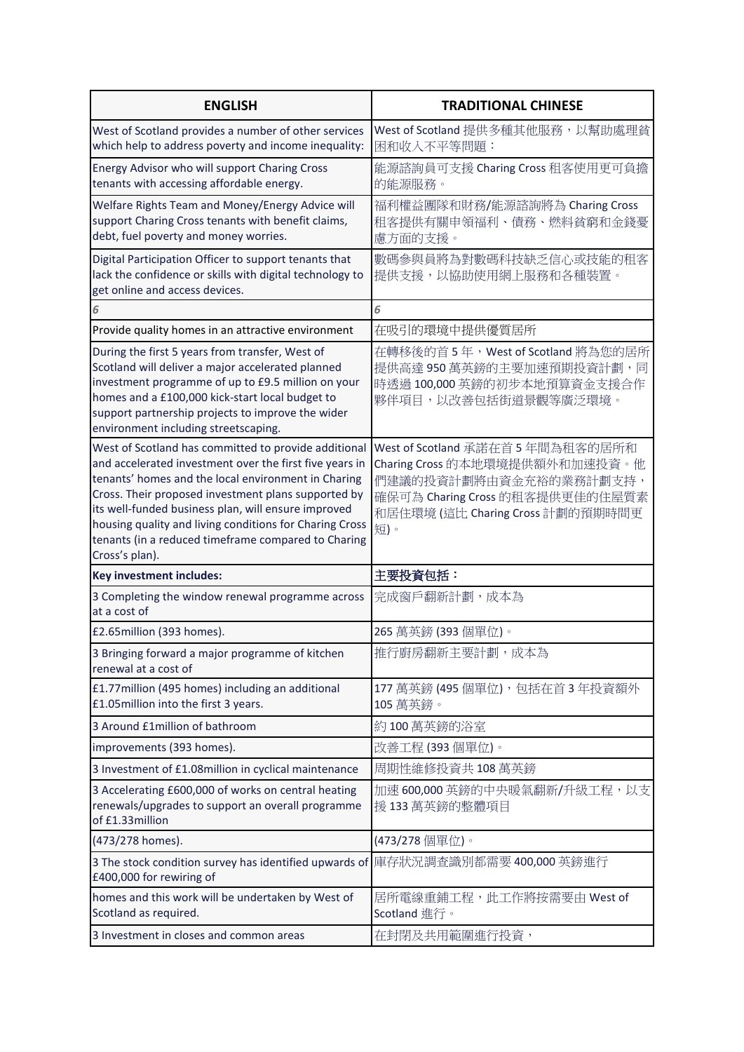| <b>ENGLISH</b>                                                                                                                                                                                                                                                                                                                                                                                                           | <b>TRADITIONAL CHINESE</b>                                                                                                                                               |
|--------------------------------------------------------------------------------------------------------------------------------------------------------------------------------------------------------------------------------------------------------------------------------------------------------------------------------------------------------------------------------------------------------------------------|--------------------------------------------------------------------------------------------------------------------------------------------------------------------------|
| West of Scotland provides a number of other services<br>which help to address poverty and income inequality:                                                                                                                                                                                                                                                                                                             | West of Scotland 提供多種其他服務, 以幫助處理貧<br>困和收入不平等問題:                                                                                                                          |
| Energy Advisor who will support Charing Cross<br>tenants with accessing affordable energy.                                                                                                                                                                                                                                                                                                                               | 能源諮詢員可支援 Charing Cross 租客使用更可負擔<br>的能源服務。                                                                                                                                |
| Welfare Rights Team and Money/Energy Advice will<br>support Charing Cross tenants with benefit claims,<br>debt, fuel poverty and money worries.                                                                                                                                                                                                                                                                          | 福利權益團隊和財務/能源諮詢將為 Charing Cross<br>租客提供有關申領福利、債務、燃料貧窮和金錢憂<br>慮方面的支援。                                                                                                      |
| Digital Participation Officer to support tenants that<br>lack the confidence or skills with digital technology to<br>get online and access devices.                                                                                                                                                                                                                                                                      | 數碼參與員將為對數碼科技缺乏信心或技能的租客<br>提供支援,以協助使用網上服務和各種裝置。                                                                                                                           |
| 6                                                                                                                                                                                                                                                                                                                                                                                                                        | 6                                                                                                                                                                        |
| Provide quality homes in an attractive environment                                                                                                                                                                                                                                                                                                                                                                       | 在吸引的環境中提供優質居所                                                                                                                                                            |
| During the first 5 years from transfer, West of<br>Scotland will deliver a major accelerated planned<br>investment programme of up to £9.5 million on your<br>homes and a £100,000 kick-start local budget to<br>support partnership projects to improve the wider<br>environment including streetscaping.                                                                                                               | 在轉移後的首5年, West of Scotland 將為您的居所<br>提供高達950萬英鎊的主要加速預期投資計劃,同<br>時透過100,000 英鎊的初步本地預算資金支援合作<br>夥伴項目,以改善包括街道景觀等廣泛環境。                                                       |
| West of Scotland has committed to provide additional<br>and accelerated investment over the first five years in<br>tenants' homes and the local environment in Charing<br>Cross. Their proposed investment plans supported by<br>its well-funded business plan, will ensure improved<br>housing quality and living conditions for Charing Cross<br>tenants (in a reduced timeframe compared to Charing<br>Cross's plan). | West of Scotland 承諾在首5年間為租客的居所和<br>Charing Cross 的本地環境提供額外和加速投資。他<br>們建議的投資計劃將由資金充裕的業務計劃支持,<br>確保可為 Charing Cross 的租客提供更佳的住屋質素<br>和居住環境(這比 Charing Cross 計劃的預期時間更<br>短)。 |
| Key investment includes:                                                                                                                                                                                                                                                                                                                                                                                                 | 主要投資包括:                                                                                                                                                                  |
| 3 Completing the window renewal programme across<br>at a cost of                                                                                                                                                                                                                                                                                                                                                         | 完成窗戶翻新計劃,成本為                                                                                                                                                             |
| £2.65million (393 homes).                                                                                                                                                                                                                                                                                                                                                                                                | 265 萬英鎊 (393 個單位)。                                                                                                                                                       |
| 3 Bringing forward a major programme of kitchen<br>renewal at a cost of                                                                                                                                                                                                                                                                                                                                                  | 推行廚房翻新主要計劃,成本為                                                                                                                                                           |
| £1.77 million (495 homes) including an additional<br>£1.05 million into the first 3 years.                                                                                                                                                                                                                                                                                                                               | 177 萬英鎊 (495 個單位), 包括在首3年投資額外<br>105 萬英鎊。                                                                                                                                |
| 3 Around £1million of bathroom                                                                                                                                                                                                                                                                                                                                                                                           | 約100萬英鎊的浴室                                                                                                                                                               |
| improvements (393 homes).                                                                                                                                                                                                                                                                                                                                                                                                | 改善工程(393個單位)。                                                                                                                                                            |
| 3 Investment of £1.08million in cyclical maintenance                                                                                                                                                                                                                                                                                                                                                                     | 周期性維修投資共108萬英鎊                                                                                                                                                           |
| 3 Accelerating £600,000 of works on central heating<br>renewals/upgrades to support an overall programme<br>of £1.33million                                                                                                                                                                                                                                                                                              | 加速 600,000 英鎊的中央暖氣翻新/升級工程,以支<br>援133萬英鎊的整體項目                                                                                                                             |
| (473/278 homes).                                                                                                                                                                                                                                                                                                                                                                                                         | (473/278 個單位)。                                                                                                                                                           |
| 3 The stock condition survey has identified upwards of  庫存狀況調查識別都需要 400,000 英鎊進行<br>£400,000 for rewiring of                                                                                                                                                                                                                                                                                                             |                                                                                                                                                                          |
| homes and this work will be undertaken by West of<br>Scotland as required.                                                                                                                                                                                                                                                                                                                                               | 居所電線重鋪工程,此工作將按需要由 West of<br>Scotland 進行。                                                                                                                                |
| 3 Investment in closes and common areas                                                                                                                                                                                                                                                                                                                                                                                  | 在封閉及共用範圍進行投資,                                                                                                                                                            |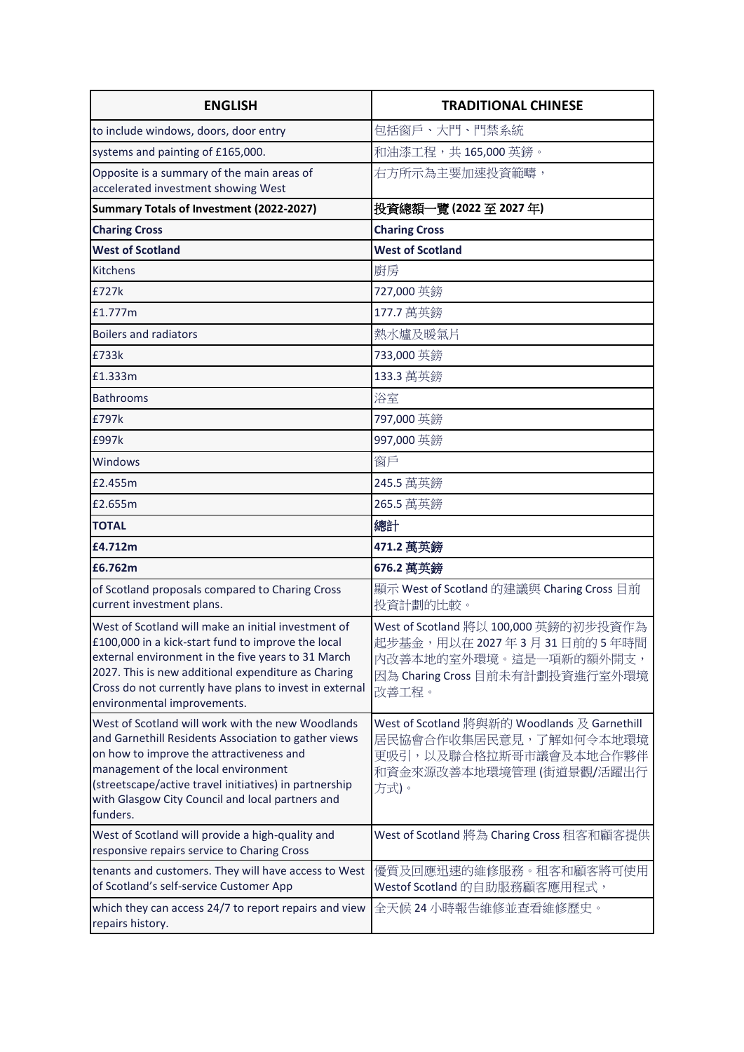| <b>ENGLISH</b>                                                                                                                                                                                                                                                                                                         | <b>TRADITIONAL CHINESE</b>                                                                                                              |
|------------------------------------------------------------------------------------------------------------------------------------------------------------------------------------------------------------------------------------------------------------------------------------------------------------------------|-----------------------------------------------------------------------------------------------------------------------------------------|
| to include windows, doors, door entry                                                                                                                                                                                                                                                                                  | 包括窗戶、大門、門禁系統                                                                                                                            |
| systems and painting of £165,000.                                                                                                                                                                                                                                                                                      | 和油漆工程,共165,000英鎊。                                                                                                                       |
| Opposite is a summary of the main areas of<br>accelerated investment showing West                                                                                                                                                                                                                                      | 右方所示為主要加速投資範疇,                                                                                                                          |
| Summary Totals of Investment (2022-2027)                                                                                                                                                                                                                                                                               | 投資總額一覽 (2022 至 2027 年)                                                                                                                  |
| <b>Charing Cross</b>                                                                                                                                                                                                                                                                                                   | <b>Charing Cross</b>                                                                                                                    |
| <b>West of Scotland</b>                                                                                                                                                                                                                                                                                                | <b>West of Scotland</b>                                                                                                                 |
| Kitchens                                                                                                                                                                                                                                                                                                               | 廚房                                                                                                                                      |
| £727k                                                                                                                                                                                                                                                                                                                  | 727,000 英鎊                                                                                                                              |
| £1.777m                                                                                                                                                                                                                                                                                                                | 177.7 萬英鎊                                                                                                                               |
| <b>Boilers and radiators</b>                                                                                                                                                                                                                                                                                           | 熱水爐及暖氣片                                                                                                                                 |
| £733k                                                                                                                                                                                                                                                                                                                  | 733,000 英鎊                                                                                                                              |
| £1.333m                                                                                                                                                                                                                                                                                                                | 133.3 萬英鎊                                                                                                                               |
| <b>Bathrooms</b>                                                                                                                                                                                                                                                                                                       | 浴室                                                                                                                                      |
| £797k                                                                                                                                                                                                                                                                                                                  | 797,000 英鎊                                                                                                                              |
| £997k                                                                                                                                                                                                                                                                                                                  | 997,000 英鎊                                                                                                                              |
| Windows                                                                                                                                                                                                                                                                                                                | 窗戶                                                                                                                                      |
| £2.455m                                                                                                                                                                                                                                                                                                                | 245.5 萬英鎊                                                                                                                               |
| £2.655m                                                                                                                                                                                                                                                                                                                | 265.5 萬英鎊                                                                                                                               |
| <b>TOTAL</b>                                                                                                                                                                                                                                                                                                           | 總計                                                                                                                                      |
| £4.712m                                                                                                                                                                                                                                                                                                                | 471.2 萬英鎊                                                                                                                               |
| £6.762m                                                                                                                                                                                                                                                                                                                | 676.2 萬英鎊                                                                                                                               |
| of Scotland proposals compared to Charing Cross<br>current investment plans.                                                                                                                                                                                                                                           | 顯示 West of Scotland 的建議與 Charing Cross 目前<br>投資計劃的比較。                                                                                   |
| West of Scotland will make an initial investment of<br>£100,000 in a kick-start fund to improve the local<br>external environment in the five years to 31 March<br>2027. This is new additional expenditure as Charing<br>Cross do not currently have plans to invest in external<br>environmental improvements.       | West of Scotland 將以 100,000 英鎊的初步投資作為<br>起步基金,用以在2027年3月31日前的5年時間<br>内改善本地的室外環境。這是一項新的額外開支,<br>因為 Charing Cross 目前未有計劃投資進行室外環境<br>改善工程。 |
| West of Scotland will work with the new Woodlands<br>and Garnethill Residents Association to gather views<br>on how to improve the attractiveness and<br>management of the local environment<br>(streetscape/active travel initiatives) in partnership<br>with Glasgow City Council and local partners and<br>funders. | West of Scotland 將與新的 Woodlands 及 Garnethill<br>居民協會合作收集居民意見,了解如何令本地環境<br>更吸引,以及聯合格拉斯哥市議會及本地合作夥伴<br>和資金來源改善本地環境管理 (街道景觀/活躍出行<br>方式)。    |
| West of Scotland will provide a high-quality and<br>responsive repairs service to Charing Cross                                                                                                                                                                                                                        | West of Scotland 將為 Charing Cross 租客和顧客提供                                                                                               |
| tenants and customers. They will have access to West<br>of Scotland's self-service Customer App                                                                                                                                                                                                                        | 優質及回應迅速的維修服務。租客和顧客將可使用<br>Westof Scotland 的自助服務顧客應用程式,                                                                                  |
| which they can access 24/7 to report repairs and view<br>repairs history.                                                                                                                                                                                                                                              | 全天候 24 小時報告維修並查看維修歷史。                                                                                                                   |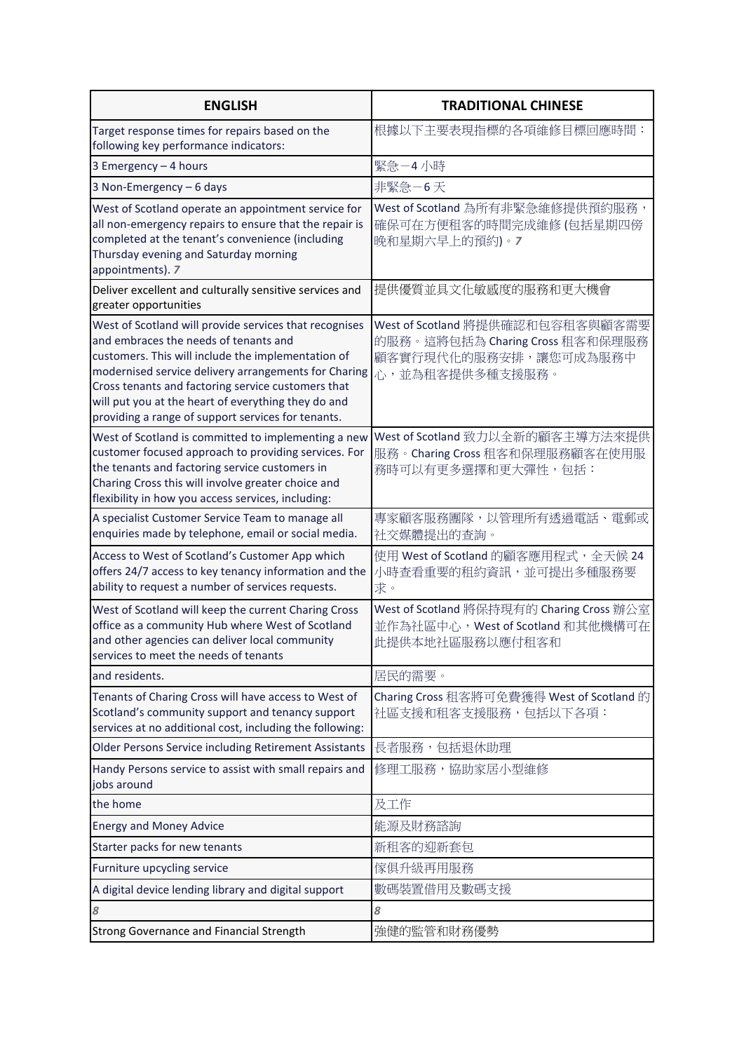| <b>ENGLISH</b>                                                                                                                                                                                                                                                                                                                                                                   | <b>TRADITIONAL CHINESE</b>                                                                                      |
|----------------------------------------------------------------------------------------------------------------------------------------------------------------------------------------------------------------------------------------------------------------------------------------------------------------------------------------------------------------------------------|-----------------------------------------------------------------------------------------------------------------|
| Target response times for repairs based on the<br>following key performance indicators:                                                                                                                                                                                                                                                                                          | 根據以下主要表現指標的各項維修目標回應時間:                                                                                          |
| 3 Emergency - 4 hours                                                                                                                                                                                                                                                                                                                                                            | 緊急-4小時                                                                                                          |
| 3 Non-Emergency - 6 days                                                                                                                                                                                                                                                                                                                                                         | 非緊急-6天                                                                                                          |
| West of Scotland operate an appointment service for<br>all non-emergency repairs to ensure that the repair is<br>completed at the tenant's convenience (including<br>Thursday evening and Saturday morning<br>appointments). 7                                                                                                                                                   | West of Scotland 為所有非緊急維修提供預約服務,<br>確保可在方便租客的時間完成維修 (包括星期四傍<br>晚和星期六早上的預約)。7                                    |
| Deliver excellent and culturally sensitive services and<br>greater opportunities                                                                                                                                                                                                                                                                                                 | 提供優質並具文化敏感度的服務和更大機會                                                                                             |
| West of Scotland will provide services that recognises<br>and embraces the needs of tenants and<br>customers. This will include the implementation of<br>modernised service delivery arrangements for Charing<br>Cross tenants and factoring service customers that<br>will put you at the heart of everything they do and<br>providing a range of support services for tenants. | West of Scotland 將提供確認和包容租客與顧客需要<br>的服務。這將包括為 Charing Cross 租客和保理服務<br>顧客實行現代化的服務安排,讓您可成為服務中<br>心,並為租客提供多種支援服務。 |
| West of Scotland is committed to implementing a new<br>customer focused approach to providing services. For<br>the tenants and factoring service customers in<br>Charing Cross this will involve greater choice and<br>flexibility in how you access services, including:                                                                                                        | West of Scotland 致力以全新的顧客主導方法來提供<br>服務。Charing Cross 租客和保理服務顧客在使用服<br>務時可以有更多選擇和更大彈性,包括:                        |
| A specialist Customer Service Team to manage all<br>enquiries made by telephone, email or social media.                                                                                                                                                                                                                                                                          | 專家顧客服務團隊,以管理所有透過電話、電郵或<br>社交媒體提出的查詢。                                                                            |
| Access to West of Scotland's Customer App which<br>offers 24/7 access to key tenancy information and the<br>ability to request a number of services requests.                                                                                                                                                                                                                    | 使用 West of Scotland 的顧客應用程式, 全天候 24<br>小時查看重要的租約資訊,並可提出多種服務要<br>求。                                              |
| West of Scotland will keep the current Charing Cross<br>office as a community Hub where West of Scotland<br>and other agencies can deliver local community<br>services to meet the needs of tenants                                                                                                                                                                              | West of Scotland 將保持現有的 Charing Cross 辦公室<br>並作為社區中心, West of Scotland 和其他機構可在<br>此提供本地社區服務以應付租客和               |
| and residents.                                                                                                                                                                                                                                                                                                                                                                   | 居民的需要。                                                                                                          |
| Tenants of Charing Cross will have access to West of<br>Scotland's community support and tenancy support<br>services at no additional cost, including the following:                                                                                                                                                                                                             | Charing Cross 租客將可免費獲得 West of Scotland 的<br>社區支援和租客支援服務,包括以下各項:                                                |
| <b>Older Persons Service including Retirement Assistants</b>                                                                                                                                                                                                                                                                                                                     | 長者服務,包括退休助理                                                                                                     |
| Handy Persons service to assist with small repairs and<br>jobs around                                                                                                                                                                                                                                                                                                            | 修理工服務,協助家居小型維修                                                                                                  |
| the home                                                                                                                                                                                                                                                                                                                                                                         | 及工作                                                                                                             |
| <b>Energy and Money Advice</b>                                                                                                                                                                                                                                                                                                                                                   | 能源及財務諮詢                                                                                                         |
| Starter packs for new tenants                                                                                                                                                                                                                                                                                                                                                    | 新租客的迎新套包                                                                                                        |
| Furniture upcycling service                                                                                                                                                                                                                                                                                                                                                      | 傢俱升級再用服務                                                                                                        |
| A digital device lending library and digital support                                                                                                                                                                                                                                                                                                                             | 數碼裝置借用及數碼支援                                                                                                     |
| 8                                                                                                                                                                                                                                                                                                                                                                                | 8                                                                                                               |
| <b>Strong Governance and Financial Strength</b>                                                                                                                                                                                                                                                                                                                                  | 強健的監管和財務優勢                                                                                                      |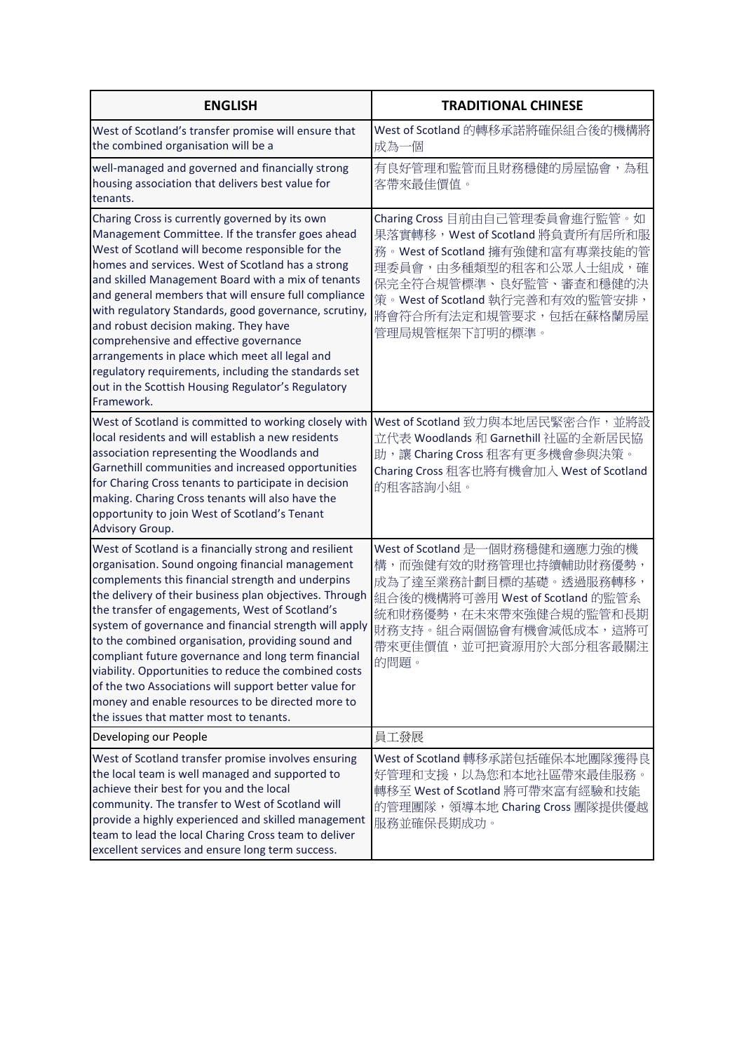| <b>ENGLISH</b>                                                                                                                                                                                                                                                                                                                                                                                                                                                                                                                                                                                                                                                        | <b>TRADITIONAL CHINESE</b>                                                                                                                                                                                                                 |
|-----------------------------------------------------------------------------------------------------------------------------------------------------------------------------------------------------------------------------------------------------------------------------------------------------------------------------------------------------------------------------------------------------------------------------------------------------------------------------------------------------------------------------------------------------------------------------------------------------------------------------------------------------------------------|--------------------------------------------------------------------------------------------------------------------------------------------------------------------------------------------------------------------------------------------|
| West of Scotland's transfer promise will ensure that<br>the combined organisation will be a                                                                                                                                                                                                                                                                                                                                                                                                                                                                                                                                                                           | West of Scotland 的轉移承諾將確保組合後的機構將<br>成為一個                                                                                                                                                                                                   |
| well-managed and governed and financially strong<br>housing association that delivers best value for<br>tenants.                                                                                                                                                                                                                                                                                                                                                                                                                                                                                                                                                      | 有良好管理和監管而且財務穩健的房屋協會,為租<br>客帶來最佳價值。                                                                                                                                                                                                         |
| Charing Cross is currently governed by its own<br>Management Committee. If the transfer goes ahead<br>West of Scotland will become responsible for the<br>homes and services. West of Scotland has a strong<br>and skilled Management Board with a mix of tenants<br>and general members that will ensure full compliance<br>with regulatory Standards, good governance, scrutiny,<br>and robust decision making. They have<br>comprehensive and effective governance<br>arrangements in place which meet all legal and<br>regulatory requirements, including the standards set<br>out in the Scottish Housing Regulator's Regulatory<br>Framework.                   | Charing Cross 目前由自己管理委員會進行監管。如<br>果落實轉移,West of Scotland 將負責所有居所和服<br>務。West of Scotland 擁有強健和富有專業技能的管<br>理委員會,由多種類型的租客和公眾人士組成,確<br>保完全符合規管標準、良好監管、審查和穩健的決<br>策。West of Scotland 執行完善和有效的監管安排,<br>將會符合所有法定和規管要求,包括在蘇格蘭房屋<br>管理局規管框架下訂明的標準。 |
| West of Scotland is committed to working closely with<br>local residents and will establish a new residents<br>association representing the Woodlands and<br>Garnethill communities and increased opportunities<br>for Charing Cross tenants to participate in decision<br>making. Charing Cross tenants will also have the<br>opportunity to join West of Scotland's Tenant<br>Advisory Group.                                                                                                                                                                                                                                                                       | West of Scotland 致力與本地居民緊密合作, 並將設<br>立代表 Woodlands 和 Garnethill 社區的全新居民協<br>助,讓 Charing Cross 租客有更多機會參與決策。<br>Charing Cross 租客也將有機會加入 West of Scotland<br>的租客諮詢小組。                                                                         |
| West of Scotland is a financially strong and resilient<br>organisation. Sound ongoing financial management<br>complements this financial strength and underpins<br>the delivery of their business plan objectives. Through<br>the transfer of engagements, West of Scotland's<br>system of governance and financial strength will apply<br>to the combined organisation, providing sound and<br>compliant future governance and long term financial<br>viability. Opportunities to reduce the combined costs<br>of the two Associations will support better value for<br>money and enable resources to be directed more to<br>the issues that matter most to tenants. | West of Scotland 是一個財務穩健和適應力強的機<br>構,而強健有效的財務管理也持續輔助財務優勢,<br>成為了達至業務計劃目標的基礎。透過服務轉移,<br>組合後的機構將可善用 West of Scotland 的監管系<br>統和財務優勢,在未來帶來強健合規的監管和長期<br>財務支持。組合兩個協會有機會減低成本,這將可<br>帶來更佳價值,並可把資源用於大部分租客最關注<br>的問題。                              |
| Developing our People                                                                                                                                                                                                                                                                                                                                                                                                                                                                                                                                                                                                                                                 | 員工發展                                                                                                                                                                                                                                       |
| West of Scotland transfer promise involves ensuring<br>the local team is well managed and supported to<br>achieve their best for you and the local<br>community. The transfer to West of Scotland will<br>provide a highly experienced and skilled management<br>team to lead the local Charing Cross team to deliver<br>excellent services and ensure long term success.                                                                                                                                                                                                                                                                                             | West of Scotland 轉移承諾包括確保本地團隊獲得良<br>好管理和支援,以為您和本地社區帶來最佳服務。<br>轉移至 West of Scotland 將可帶來富有經驗和技能<br>的管理團隊, 領導本地 Charing Cross 團隊提供優越<br>服務並確保長期成功。                                                                                           |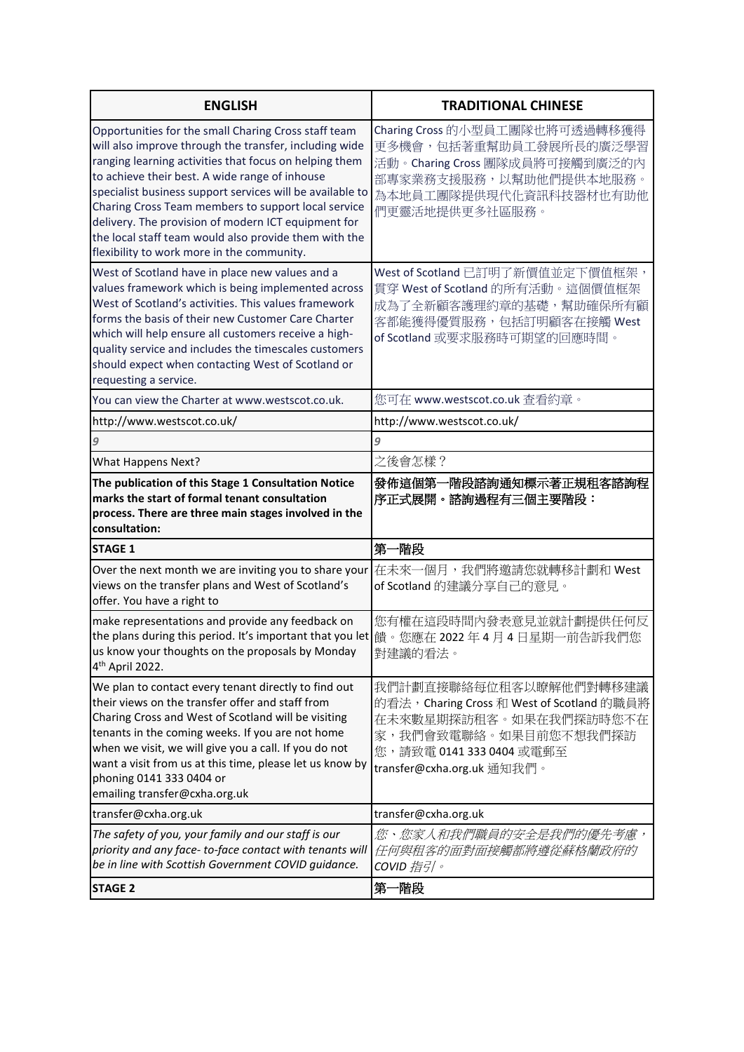| <b>ENGLISH</b>                                                                                                                                                                                                                                                                                                                                                                                                                                                                                               | <b>TRADITIONAL CHINESE</b>                                                                                                                                                       |
|--------------------------------------------------------------------------------------------------------------------------------------------------------------------------------------------------------------------------------------------------------------------------------------------------------------------------------------------------------------------------------------------------------------------------------------------------------------------------------------------------------------|----------------------------------------------------------------------------------------------------------------------------------------------------------------------------------|
| Opportunities for the small Charing Cross staff team<br>will also improve through the transfer, including wide<br>ranging learning activities that focus on helping them<br>to achieve their best. A wide range of inhouse<br>specialist business support services will be available to<br>Charing Cross Team members to support local service<br>delivery. The provision of modern ICT equipment for<br>the local staff team would also provide them with the<br>flexibility to work more in the community. | Charing Cross 的小型員工團隊也將可透過轉移獲得<br>更多機會,包括著重幫助員工發展所長的廣泛學習<br>活動。Charing Cross 團隊成員將可接觸到廣泛的內<br>部專家業務支援服務,以幫助他們提供本地服務。<br>為本地員工團隊提供現代化資訊科技器材也有助他<br>們更靈活地提供更多社區服務。                 |
| West of Scotland have in place new values and a<br>values framework which is being implemented across<br>West of Scotland's activities. This values framework<br>forms the basis of their new Customer Care Charter<br>which will help ensure all customers receive a high-<br>quality service and includes the timescales customers<br>should expect when contacting West of Scotland or<br>requesting a service.                                                                                           | West of Scotland 已訂明了新價值並定下價值框架,<br>貫穿 West of Scotland 的所有活動。這個價值框架<br>成為了全新顧客護理約章的基礎,幫助確保所有顧<br>客都能獲得優質服務,包括訂明顧客在接觸 West<br>of Scotland 或要求服務時可期望的回應時間。                        |
| You can view the Charter at www.westscot.co.uk.                                                                                                                                                                                                                                                                                                                                                                                                                                                              | 您可在 www.westscot.co.uk 查看約章。                                                                                                                                                     |
| http://www.westscot.co.uk/                                                                                                                                                                                                                                                                                                                                                                                                                                                                                   | http://www.westscot.co.uk/                                                                                                                                                       |
| 9                                                                                                                                                                                                                                                                                                                                                                                                                                                                                                            | 9                                                                                                                                                                                |
| What Happens Next?                                                                                                                                                                                                                                                                                                                                                                                                                                                                                           | 之後會怎樣?                                                                                                                                                                           |
| The publication of this Stage 1 Consultation Notice<br>marks the start of formal tenant consultation<br>process. There are three main stages involved in the<br>consultation:                                                                                                                                                                                                                                                                                                                                | 發佈這個第一階段諮詢通知標示著正規租客諮詢程<br>序正式展開。諮詢過程有三個主要階段:                                                                                                                                     |
| <b>STAGE 1</b>                                                                                                                                                                                                                                                                                                                                                                                                                                                                                               | 第一階段                                                                                                                                                                             |
| Over the next month we are inviting you to share your<br>views on the transfer plans and West of Scotland's<br>offer. You have a right to                                                                                                                                                                                                                                                                                                                                                                    | 在未來一個月,我們將邀請您就轉移計劃和 West<br>of Scotland 的建議分享自己的意見。                                                                                                                              |
| make representations and provide any feedback on<br>the plans during this period. It's important that you let  饋。您應在 2022 年 4 月 4 日星期一前告訴我們您<br>us know your thoughts on the proposals by Monday<br>4 <sup>th</sup> April 2022.                                                                                                                                                                                                                                                                              | 您有權在這段時間內發表意見並就計劃提供任何反<br>對建議的看法。                                                                                                                                                |
| We plan to contact every tenant directly to find out<br>their views on the transfer offer and staff from<br>Charing Cross and West of Scotland will be visiting<br>tenants in the coming weeks. If you are not home<br>when we visit, we will give you a call. If you do not<br>want a visit from us at this time, please let us know by<br>phoning 0141 333 0404 or<br>emailing transfer@cxha.org.uk                                                                                                        | 我們計劃直接聯絡每位租客以瞭解他們對轉移建議<br>的看法,Charing Cross 和 West of Scotland 的職員將<br>在未來數星期探訪租客。如果在我們探訪時您不在<br>家,我們會致電聯絡。如果目前您不想我們探訪<br>您,請致電 0141 333 0404 或電郵至<br>transfer@cxha.org.uk 通知我們。 |
| transfer@cxha.org.uk                                                                                                                                                                                                                                                                                                                                                                                                                                                                                         | transfer@cxha.org.uk                                                                                                                                                             |
| The safety of you, your family and our staff is our<br>priority and any face-to-face contact with tenants will<br>be in line with Scottish Government COVID guidance.                                                                                                                                                                                                                                                                                                                                        | 您、您家人和我們職員的安全是我們的優先考慮,<br>任何與租客的面對面接觸都將遵從蘇格蘭政府的<br>COVID 指引。                                                                                                                     |
| <b>STAGE 2</b>                                                                                                                                                                                                                                                                                                                                                                                                                                                                                               | 第一階段                                                                                                                                                                             |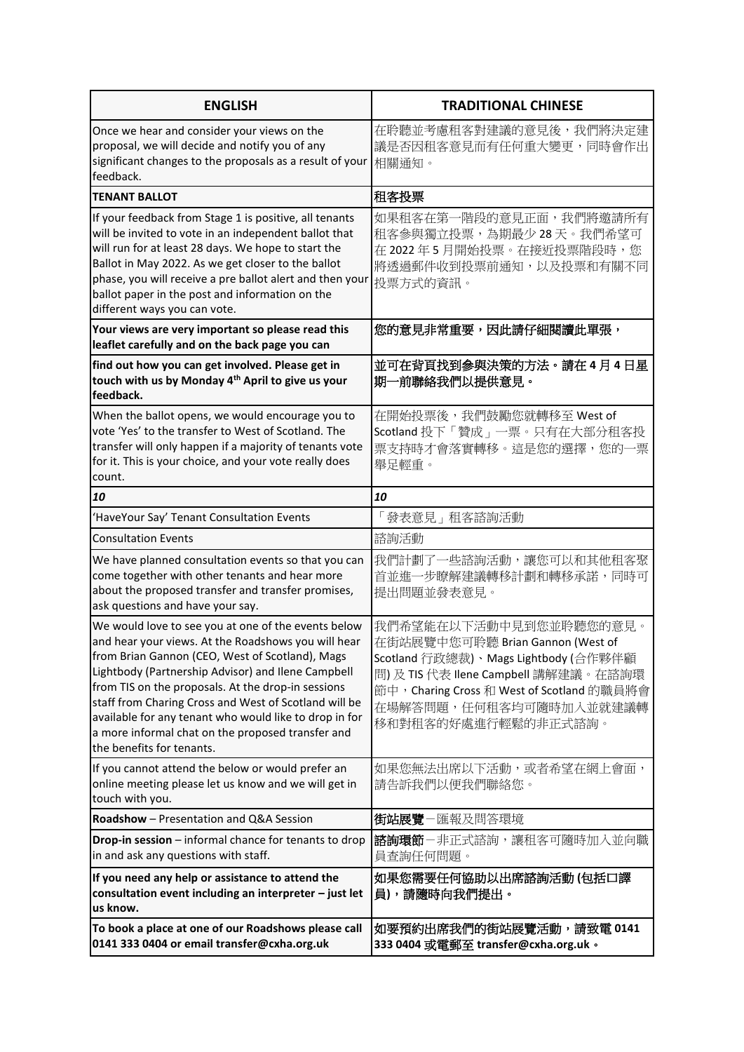| <b>ENGLISH</b>                                                                                                                                                                                                                                                                                                                                                                                                                                                                 | <b>TRADITIONAL CHINESE</b>                                                                                                                                                                                                                |
|--------------------------------------------------------------------------------------------------------------------------------------------------------------------------------------------------------------------------------------------------------------------------------------------------------------------------------------------------------------------------------------------------------------------------------------------------------------------------------|-------------------------------------------------------------------------------------------------------------------------------------------------------------------------------------------------------------------------------------------|
| Once we hear and consider your views on the<br>proposal, we will decide and notify you of any<br>significant changes to the proposals as a result of your<br>feedback.                                                                                                                                                                                                                                                                                                         | 在聆聽並考慮租客對建議的意見後,我們將決定建<br>議是否因租客意見而有任何重大變更,同時會作出<br>相關通知。                                                                                                                                                                                 |
| <b>TENANT BALLOT</b>                                                                                                                                                                                                                                                                                                                                                                                                                                                           | 租客投票                                                                                                                                                                                                                                      |
| If your feedback from Stage 1 is positive, all tenants<br>will be invited to vote in an independent ballot that<br>will run for at least 28 days. We hope to start the<br>Ballot in May 2022. As we get closer to the ballot<br>phase, you will receive a pre ballot alert and then your<br>ballot paper in the post and information on the<br>different ways you can vote.                                                                                                    | 如果租客在第一階段的意見正面,我們將邀請所有<br>租客參與獨立投票,為期最少 28 天。我們希望可<br>在 2022年5月開始投票。在接近投票階段時,您<br>將透過郵件收到投票前通知,以及投票和有關不同<br>投票方式的資訊。                                                                                                                      |
| Your views are very important so please read this<br>leaflet carefully and on the back page you can                                                                                                                                                                                                                                                                                                                                                                            | 您的意見非常重要,因此請仔細閱讀此單張,                                                                                                                                                                                                                      |
| find out how you can get involved. Please get in<br>touch with us by Monday 4 <sup>th</sup> April to give us your<br>feedback.                                                                                                                                                                                                                                                                                                                                                 | 並可在背頁找到參與決策的方法。請在4月4日星<br>期一前聯絡我們以提供意見。                                                                                                                                                                                                   |
| When the ballot opens, we would encourage you to<br>vote 'Yes' to the transfer to West of Scotland. The<br>transfer will only happen if a majority of tenants vote<br>for it. This is your choice, and your vote really does<br>count.                                                                                                                                                                                                                                         | 在開始投票後,我們鼓勵您就轉移至 West of<br>Scotland 投下「贊成」一票。只有在大部分租客投<br>票支持時才會落實轉移。這是您的選擇,您的一票<br>舉足輕重。                                                                                                                                                |
| 10                                                                                                                                                                                                                                                                                                                                                                                                                                                                             | 10                                                                                                                                                                                                                                        |
| HaveYour Say' Tenant Consultation Events                                                                                                                                                                                                                                                                                                                                                                                                                                       | 「發表意見」租客諮詢活動                                                                                                                                                                                                                              |
| <b>Consultation Events</b>                                                                                                                                                                                                                                                                                                                                                                                                                                                     | 諮詢活動                                                                                                                                                                                                                                      |
| We have planned consultation events so that you can<br>come together with other tenants and hear more<br>about the proposed transfer and transfer promises,<br>ask questions and have your say.                                                                                                                                                                                                                                                                                | 我們計劃了一些諮詢活動,讓您可以和其他租客聚<br>首並進一步瞭解建議轉移計劃和轉移承諾,同時可<br>提出問題並發表意見。                                                                                                                                                                            |
| We would love to see you at one of the events below<br>and hear your views. At the Roadshows you will hear<br>from Brian Gannon (CEO, West of Scotland), Mags<br>Lightbody (Partnership Advisor) and Ilene Campbell<br>from TIS on the proposals. At the drop-in sessions<br>staff from Charing Cross and West of Scotland will be<br>available for any tenant who would like to drop in for<br>a more informal chat on the proposed transfer and<br>the benefits for tenants. | 我們希望能在以下活動中見到您並聆聽您的意見。<br>在街站展覽中您可聆聽 Brian Gannon (West of<br>Scotland 行政總裁)、Mags Lightbody (合作夥伴顧<br>問) 及 TIS 代表 Ilene Campbell 講解建議。在諮詢環<br>節中, Charing Cross 和 West of Scotland 的職員將會<br>在場解答問題,任何租客均可隨時加入並就建議轉<br>移和對租客的好處進行輕鬆的非正式諮詢。 |
| If you cannot attend the below or would prefer an<br>online meeting please let us know and we will get in<br>touch with you.                                                                                                                                                                                                                                                                                                                                                   | 如果您無法出席以下活動,或者希望在網上會面,<br>請告訴我們以便我們聯絡您。                                                                                                                                                                                                   |
| Roadshow - Presentation and Q&A Session                                                                                                                                                                                                                                                                                                                                                                                                                                        | <b>街站展覽</b> -匯報及問答環境                                                                                                                                                                                                                      |
| Drop-in session - informal chance for tenants to drop<br>in and ask any questions with staff.                                                                                                                                                                                                                                                                                                                                                                                  | <b>諮詢環節</b> -非正式諮詢,讓租客可隨時加入並向職<br>員查詢任何問題。                                                                                                                                                                                                |
| If you need any help or assistance to attend the<br>consultation event including an interpreter - just let<br>us know.                                                                                                                                                                                                                                                                                                                                                         | 如果您需要任何協助以出席諮詢活動 (包括口譯<br>員),請隨時向我們提出。                                                                                                                                                                                                    |
| To book a place at one of our Roadshows please call<br>0141 333 0404 or email transfer@cxha.org.uk                                                                                                                                                                                                                                                                                                                                                                             | 如要預約出席我們的街站展覽活動,請致電 0141<br>333 0404 或電郵至 transfer@cxha.org.uk。                                                                                                                                                                           |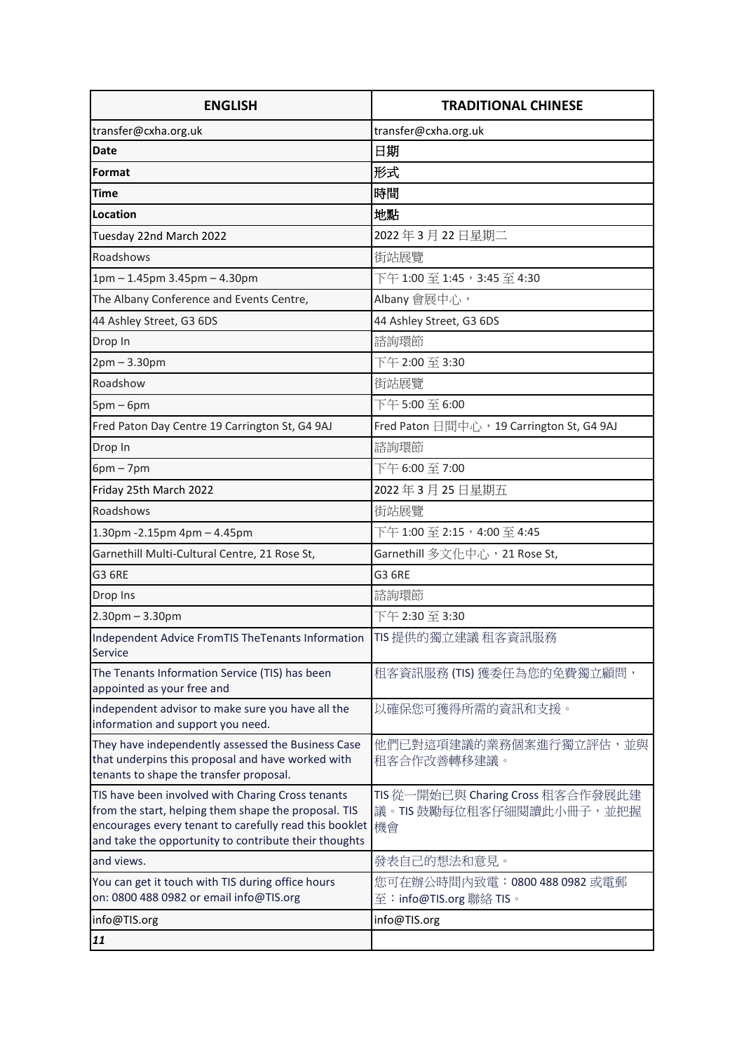| <b>ENGLISH</b>                                                                                                                                                                                                               | <b>TRADITIONAL CHINESE</b>                                          |
|------------------------------------------------------------------------------------------------------------------------------------------------------------------------------------------------------------------------------|---------------------------------------------------------------------|
| transfer@cxha.org.uk                                                                                                                                                                                                         | transfer@cxha.org.uk                                                |
| <b>Date</b>                                                                                                                                                                                                                  | 日期                                                                  |
| Format                                                                                                                                                                                                                       | 形式                                                                  |
| <b>Time</b>                                                                                                                                                                                                                  | 時間                                                                  |
| Location                                                                                                                                                                                                                     | 地點                                                                  |
| Tuesday 22nd March 2022                                                                                                                                                                                                      | 2022年3月22日星期二                                                       |
| Roadshows                                                                                                                                                                                                                    | 街站展覽                                                                |
| 1pm - 1.45pm 3.45pm - 4.30pm                                                                                                                                                                                                 | 下午 1:00 至 1:45,3:45 至 4:30                                          |
| The Albany Conference and Events Centre,                                                                                                                                                                                     | Albany 會展中心,                                                        |
| 44 Ashley Street, G3 6DS                                                                                                                                                                                                     | 44 Ashley Street, G3 6DS                                            |
| Drop In                                                                                                                                                                                                                      | 諮詢環節                                                                |
| $2pm - 3.30pm$                                                                                                                                                                                                               | 下午 2:00 至 3:30                                                      |
| Roadshow                                                                                                                                                                                                                     | 街站展覽                                                                |
| $5pm-6pm$                                                                                                                                                                                                                    | 下午 5:00至 6:00                                                       |
| Fred Paton Day Centre 19 Carrington St, G4 9AJ                                                                                                                                                                               | Fred Paton 日間中心, 19 Carrington St, G4 9AJ                           |
| Drop In                                                                                                                                                                                                                      | 諮詢環節                                                                |
| $6pm - 7pm$                                                                                                                                                                                                                  | 下午 6:00 至 7:00                                                      |
| Friday 25th March 2022                                                                                                                                                                                                       | 2022年3月25日星期五                                                       |
| Roadshows                                                                                                                                                                                                                    | 街站展覽                                                                |
| 1.30pm - 2.15pm 4pm - 4.45pm                                                                                                                                                                                                 | 下午 1:00 至 2:15,4:00 至 4:45                                          |
| Garnethill Multi-Cultural Centre, 21 Rose St,                                                                                                                                                                                | Garnethill 多文化中心,21 Rose St,                                        |
| <b>G3 6RE</b>                                                                                                                                                                                                                | <b>G3 6RE</b>                                                       |
| Drop Ins                                                                                                                                                                                                                     | 諮詢環節                                                                |
| $2.30$ pm $- 3.30$ pm                                                                                                                                                                                                        | 下午 2:30至 3:30                                                       |
| Independent Advice FromTIS TheTenants Information<br>Service                                                                                                                                                                 | TIS 提供的獨立建議 租客資訊服務                                                  |
| The Tenants Information Service (TIS) has been<br>appointed as your free and                                                                                                                                                 | 租客資訊服務 (TIS) 獲委任為您的免費獨立顧問,                                          |
| independent advisor to make sure you have all the<br>information and support you need.                                                                                                                                       | 以確保您可獲得所需的資訊和支援。                                                    |
| They have independently assessed the Business Case<br>that underpins this proposal and have worked with<br>tenants to shape the transfer proposal.                                                                           | 他們已對這項建議的業務個案進行獨立評估,並與<br>租客合作改善轉移建議。                               |
| TIS have been involved with Charing Cross tenants<br>from the start, helping them shape the proposal. TIS<br>encourages every tenant to carefully read this booklet<br>and take the opportunity to contribute their thoughts | TIS 從一開始已與 Charing Cross 租客合作發展此建<br>議。TIS 鼓勵每位租客仔細閱讀此小冊子,並把握<br>機會 |
| and views.                                                                                                                                                                                                                   | 發表自己的想法和意見。                                                         |
| You can get it touch with TIS during office hours<br>on: 0800 488 0982 or email info@TIS.org                                                                                                                                 | 您可在辦公時間內致電:0800 488 0982 或電郵<br>至:info@TIS.org 聯絡 TIS。              |
| info@TIS.org                                                                                                                                                                                                                 | info@TIS.org                                                        |
| 11                                                                                                                                                                                                                           |                                                                     |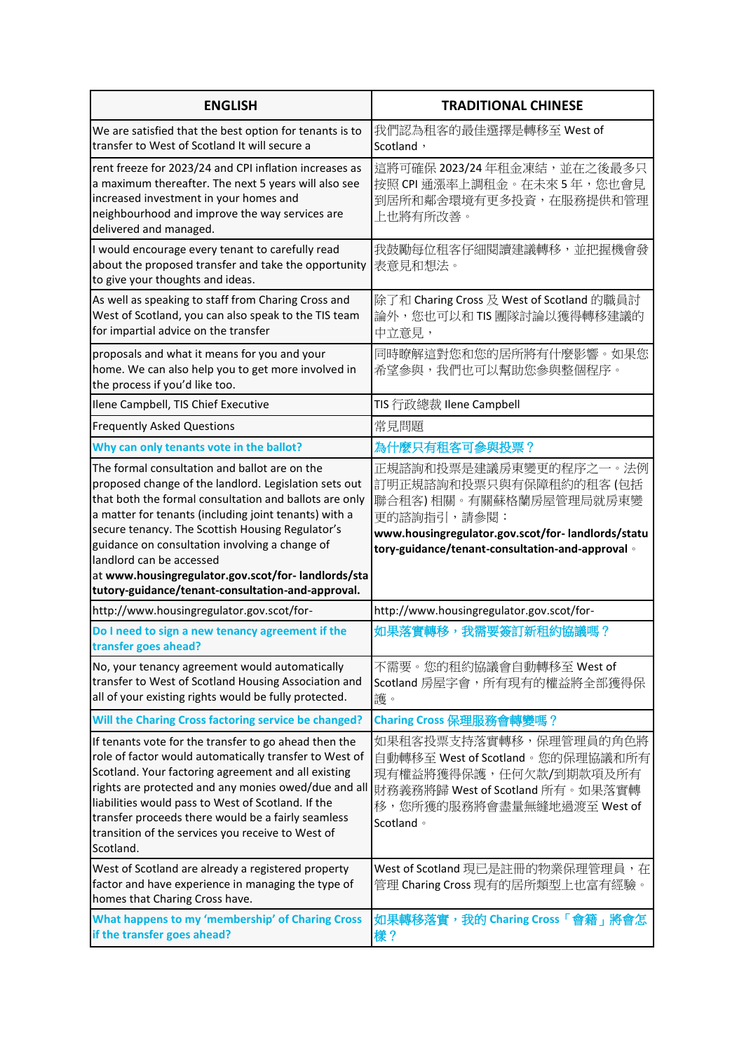| <b>ENGLISH</b>                                                                                                                                                                                                                                                                                                                                                                                                                                                         | <b>TRADITIONAL CHINESE</b>                                                                                                                                                                         |
|------------------------------------------------------------------------------------------------------------------------------------------------------------------------------------------------------------------------------------------------------------------------------------------------------------------------------------------------------------------------------------------------------------------------------------------------------------------------|----------------------------------------------------------------------------------------------------------------------------------------------------------------------------------------------------|
| We are satisfied that the best option for tenants is to<br>transfer to West of Scotland It will secure a                                                                                                                                                                                                                                                                                                                                                               | 我們認為租客的最佳選擇是轉移至 West of<br>Scotland,                                                                                                                                                               |
| rent freeze for 2023/24 and CPI inflation increases as<br>a maximum thereafter. The next 5 years will also see<br>increased investment in your homes and<br>neighbourhood and improve the way services are<br>delivered and managed.                                                                                                                                                                                                                                   | 這將可確保 2023/24年租金凍結,並在之後最多只<br>按照 CPI 通漲率上調租金。在未來 5年, 您也會見<br>到居所和鄰舍環境有更多投資,在服務提供和管理<br>上也將有所改善。                                                                                                    |
| I would encourage every tenant to carefully read<br>about the proposed transfer and take the opportunity<br>to give your thoughts and ideas.                                                                                                                                                                                                                                                                                                                           | 我鼓勵每位租客仔細閱讀建議轉移,並把握機會發<br>表意見和想法。                                                                                                                                                                  |
| As well as speaking to staff from Charing Cross and<br>West of Scotland, you can also speak to the TIS team<br>for impartial advice on the transfer                                                                                                                                                                                                                                                                                                                    | 除了和 Charing Cross 及 West of Scotland 的職員討<br>論外,您也可以和 TIS 團隊討論以獲得轉移建議的<br>中立意見,                                                                                                                    |
| proposals and what it means for you and your<br>home. We can also help you to get more involved in<br>the process if you'd like too.                                                                                                                                                                                                                                                                                                                                   | 同時瞭解這對您和您的居所將有什麼影響。如果您<br>希望參與,我們也可以幫助您參與整個程序。                                                                                                                                                     |
| Ilene Campbell, TIS Chief Executive                                                                                                                                                                                                                                                                                                                                                                                                                                    | TIS 行政總裁 Ilene Campbell                                                                                                                                                                            |
| <b>Frequently Asked Questions</b>                                                                                                                                                                                                                                                                                                                                                                                                                                      | 常見問題                                                                                                                                                                                               |
| Why can only tenants vote in the ballot?                                                                                                                                                                                                                                                                                                                                                                                                                               | 為什麼只有租客可參與投票?                                                                                                                                                                                      |
| The formal consultation and ballot are on the<br>proposed change of the landlord. Legislation sets out<br>that both the formal consultation and ballots are only<br>a matter for tenants (including joint tenants) with a<br>secure tenancy. The Scottish Housing Regulator's<br>guidance on consultation involving a change of<br>landlord can be accessed<br>at www.housingregulator.gov.scot/for-landlords/sta<br>tutory-guidance/tenant-consultation-and-approval. | 正規諮詢和投票是建議房東變更的程序之一。法例<br>訂明正規諮詢和投票只與有保障租約的租客(包括<br>聯合租客)相關。有關蘇格蘭房屋管理局就房東變<br>更的諮詢指引,請參閱:<br>www.housingregulator.gov.scot/for-landlords/statu<br>tory-guidance/tenant-consultation-and-approval 。 |
| http://www.housingregulator.gov.scot/for-                                                                                                                                                                                                                                                                                                                                                                                                                              | http://www.housingregulator.gov.scot/for-                                                                                                                                                          |
| Do I need to sign a new tenancy agreement if the<br>transfer goes ahead?                                                                                                                                                                                                                                                                                                                                                                                               | 如果落實轉移,我需要簽訂新租約協議嗎?                                                                                                                                                                                |
| No, your tenancy agreement would automatically<br>transfer to West of Scotland Housing Association and<br>all of your existing rights would be fully protected.                                                                                                                                                                                                                                                                                                        | 不需要。您的租約協議會自動轉移至 West of<br>Scotland 房屋字會, 所有現有的權益將全部獲得保<br>護。                                                                                                                                     |
| Will the Charing Cross factoring service be changed?                                                                                                                                                                                                                                                                                                                                                                                                                   | Charing Cross 保理服務會轉變嗎?                                                                                                                                                                            |
| If tenants vote for the transfer to go ahead then the<br>role of factor would automatically transfer to West of<br>Scotland. Your factoring agreement and all existing<br>rights are protected and any monies owed/due and all<br>liabilities would pass to West of Scotland. If the<br>transfer proceeds there would be a fairly seamless<br>transition of the services you receive to West of<br>Scotland.                                                           | 如果租客投票支持落實轉移,保理管理員的角色將<br>自動轉移至 West of Scotland。您的保理協議和所有<br>現有權益將獲得保護,任何欠款/到期款項及所有<br>財務義務將歸 West of Scotland 所有。如果落實轉<br>移,您所獲的服務將會盡量無縫地過渡至 West of<br>Scotland 。                               |
| West of Scotland are already a registered property<br>factor and have experience in managing the type of<br>homes that Charing Cross have.                                                                                                                                                                                                                                                                                                                             | West of Scotland 現已是註冊的物業保理管理員, 在<br>管理 Charing Cross 現有的居所類型上也富有經驗。                                                                                                                               |
| What happens to my 'membership' of Charing Cross<br>if the transfer goes ahead?                                                                                                                                                                                                                                                                                                                                                                                        | 如果轉移落實,我的 Charing Cross「會籍」將會怎<br>樣?                                                                                                                                                               |